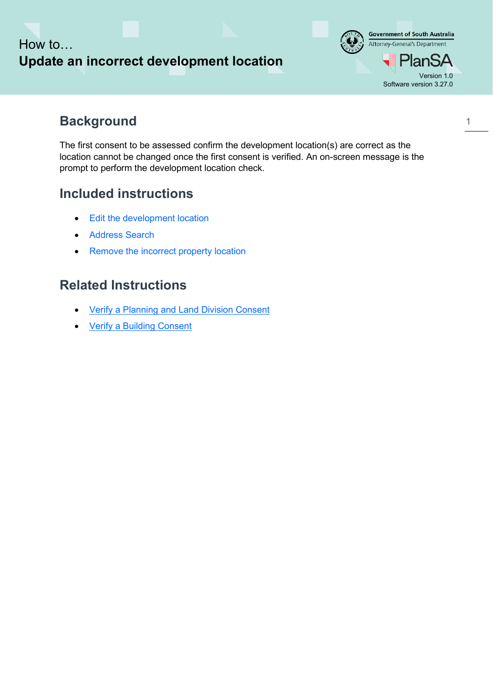# How to… **Update an incorrect development location**



## **Background**

The first consent to be assessed confirm the development location(s) are correct as the location cannot be changed once the first consent is verified. An on-screen message is the prompt to perform the development location check.

## **Included instructions**

- Edit the development location
- Address Search
- Remove the incorrect property location

## **Related Instructions**

- [Verify a Planning and Land Division Consent](https://plan.sa.gov.au/__data/assets/pdf_file/0007/699028/Module_7.2_Guide_-_Verify_a_Planning_and_Land_Division_Consent.pdf)
- [Verify a Building Consent](https://plan.sa.gov.au/__data/assets/pdf_file/0008/699029/Guide_-_Verify_a_Building_Consent.pdf)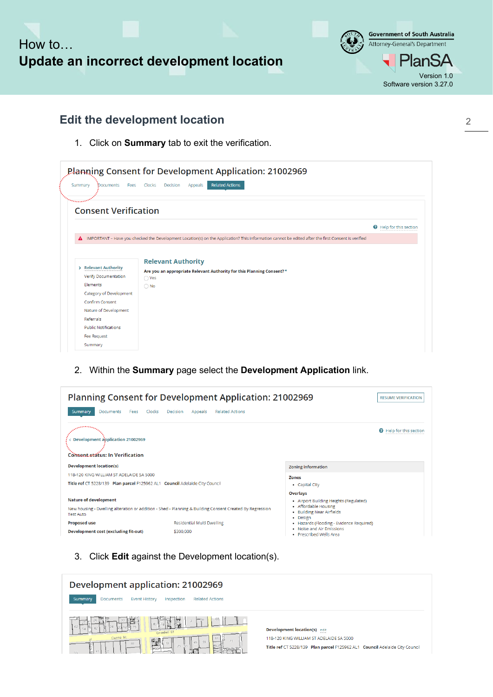



### **Edit the development location**

1. Click on **Summary** tab to exit the verification.

| Summary<br><b>Documents</b><br>Fees | <b>Related Actions</b><br>Clocks<br>Decision<br>Appeals                                                                                            |                       |
|-------------------------------------|----------------------------------------------------------------------------------------------------------------------------------------------------|-----------------------|
| <b>Consent Verification</b>         |                                                                                                                                                    |                       |
|                                     |                                                                                                                                                    | Help for this section |
| А                                   | IMPORTANT - Have you checked the Development Location(s) on the Application? This information cannot be edited after the first Consent is verified |                       |
|                                     |                                                                                                                                                    |                       |

2. Within the **Summary** page select the **Development Application** link.

| Planning Consent for Development Application: 21002969                                                                                                                                           |                                               |                                                      |                                |  |  |  |
|--------------------------------------------------------------------------------------------------------------------------------------------------------------------------------------------------|-----------------------------------------------|------------------------------------------------------|--------------------------------|--|--|--|
| Clocks<br>Summary<br><b>Documents</b><br>Fees                                                                                                                                                    | <b>Related Actions</b><br>Decision<br>Appeals |                                                      |                                |  |  |  |
| ,,,,,,,,,,<br><b>Development application 21002969</b><br><b>Consent status: In Verification</b>                                                                                                  |                                               |                                                      | <b>Q</b> Help for this section |  |  |  |
| <b>Development location(s)</b>                                                                                                                                                                   |                                               | <b>Zoning information</b>                            |                                |  |  |  |
| 118-120 KING WILLIAM ST ADELAIDE SA 5000                                                                                                                                                         |                                               | <b>Zones</b>                                         |                                |  |  |  |
| Title ref CT 5228/139 Plan parcel F125962 AL1 Council Adelaide City Council                                                                                                                      |                                               | • Capital City                                       |                                |  |  |  |
| <b>Overlays</b><br><b>Nature of development</b><br>• Airport Building Heights (Regulated)                                                                                                        |                                               |                                                      |                                |  |  |  |
| • Affordable Housing<br>New housing - Dwelling alteration or addition - Shed - Planning & Building Consent Created By Regression<br>• Building Near Airfields<br><b>Test Auto</b><br>Design<br>٠ |                                               |                                                      |                                |  |  |  |
| <b>Proposed use</b>                                                                                                                                                                              | Residential Multi Dwelling                    | · Hazards (Flooding - Evidence Required)             |                                |  |  |  |
| Development cost (excluding fit-out)                                                                                                                                                             | \$300,000                                     | . Noise and Air Emissions<br>· Prescribed Wells Area |                                |  |  |  |

3. Click **Edit** against the Development location(s).

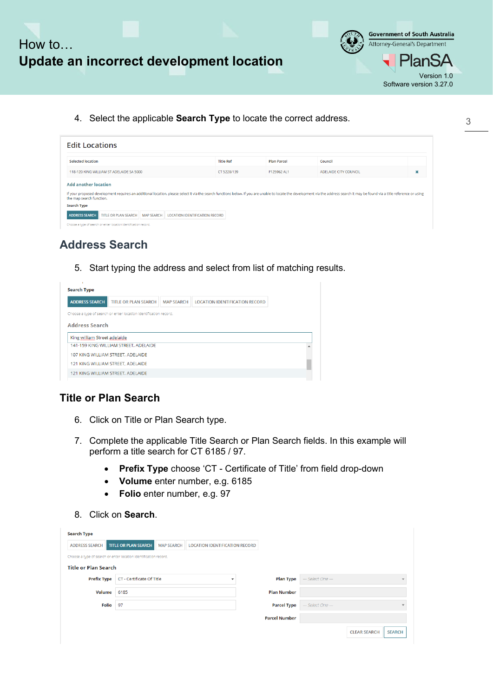

**Government of South Australia** Attorney-General's Department Version 1.0 Software version 3.27.0

4. Select the applicable **Search Type** to locate the correct address.

| <b>Edit Locations</b>                                                                                                                                                                                                                                                                     |                  |                    |                       |             |  |  |  |  |
|-------------------------------------------------------------------------------------------------------------------------------------------------------------------------------------------------------------------------------------------------------------------------------------------|------------------|--------------------|-----------------------|-------------|--|--|--|--|
| Selected location                                                                                                                                                                                                                                                                         | <b>Title Ref</b> | <b>Plan Parcel</b> | Council               |             |  |  |  |  |
| 118-120 KING WILLIAM ST ADELAIDE SA 5000                                                                                                                                                                                                                                                  | CT 5228/139      | F125962 AL1        | ADELAIDE CITY COUNCIL | $\mathbf x$ |  |  |  |  |
| <b>Add another location</b><br>If your proposed development requires an additional location, please select it via the search functions below. If you are unable to locate the development via the address search it may be found via a title reference or usi<br>the map search function. |                  |                    |                       |             |  |  |  |  |
| <b>Search Type</b>                                                                                                                                                                                                                                                                        |                  |                    |                       |             |  |  |  |  |
| <b>ADDRESS SEARCH</b><br><b>TITLE OR PLAN SEARCH</b><br><b>MAP SEARCH</b><br><b>LOCATION IDENTIFICATION RECORD</b>                                                                                                                                                                        |                  |                    |                       |             |  |  |  |  |
| Choose a type of search or enter location identification record.                                                                                                                                                                                                                          |                  |                    |                       |             |  |  |  |  |

### **Address Search**

5. Start typing the address and select from list of matching results.

| <b>Search Type</b>           |                                                                  |                   |                                       |  |
|------------------------------|------------------------------------------------------------------|-------------------|---------------------------------------|--|
| <b>ADDRESS SEARCH</b>        | <b>TITLE OR PLAN SEARCH</b>                                      | <b>MAP SEARCH</b> | <b>LOCATION IDENTIFICATION RECORD</b> |  |
|                              | Choose a type of search or enter location identification record. |                   |                                       |  |
| <b>Address Search</b>        |                                                                  |                   |                                       |  |
| King william Street adelaide |                                                                  |                   |                                       |  |
|                              | 141-159 KING WILLIAM STREET, ADELAIDE                            |                   |                                       |  |
|                              | 107 KING WILLIAM STREET, ADELAIDE                                |                   |                                       |  |
|                              | 121 KING WILLIAM STREET, ADELAIDE                                |                   |                                       |  |
|                              | 121 KING WILLIAM STREET, ADELAIDE                                |                   |                                       |  |
|                              |                                                                  |                   |                                       |  |

### **Title or Plan Search**

- 6. Click on Title or Plan Search type.
- 7. Complete the applicable Title Search or Plan Search fields. In this example will perform a title search for CT 6185 / 97.
	- **Prefix Type** choose 'CT Certificate of Title' from field drop-down
	- **Volume** enter number, e.g. 6185
	- **Folio** enter number, e.g. 97
- 8. Click on **Search**.

| <b>ADDRESS SEARCH</b>                                            | <b>TITLE OR PLAN SEARCH</b> | <b>MAP SEARCH</b> | <b>LOCATION IDENTIFICATION RECORD</b> |                      |                  |                    |                     |               |
|------------------------------------------------------------------|-----------------------------|-------------------|---------------------------------------|----------------------|------------------|--------------------|---------------------|---------------|
| Choose a type of search or enter location identification record. |                             |                   |                                       |                      |                  |                    |                     |               |
| <b>Title or Plan Search</b>                                      |                             |                   |                                       |                      |                  |                    |                     |               |
| <b>Prefix Type</b>                                               | CT - Certificate Of Title   |                   |                                       |                      | <b>Plan Type</b> | --- Select One --- |                     |               |
| Volume 6185                                                      |                             |                   |                                       | <b>Plan Number</b>   |                  |                    |                     |               |
| Folio 97                                                         |                             |                   |                                       | <b>Parcel Type</b>   |                  | --- Select One --- |                     |               |
|                                                                  |                             |                   |                                       | <b>Parcel Number</b> |                  |                    |                     |               |
|                                                                  |                             |                   |                                       |                      |                  |                    | <b>CLEAR SEARCH</b> | <b>SEARCH</b> |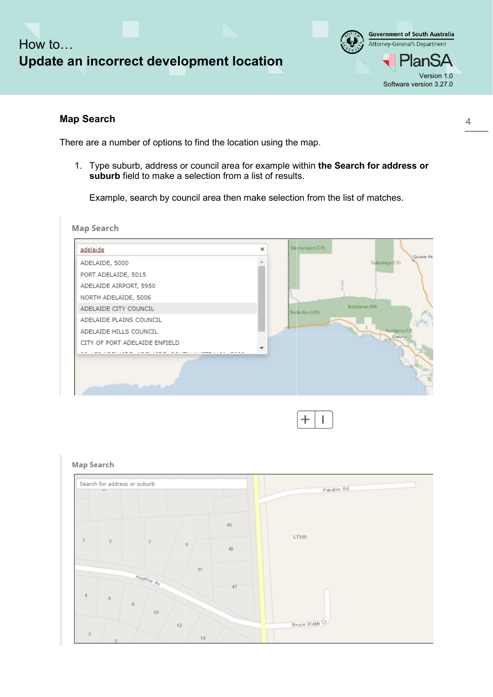



#### **Map Search**

There are a number of options to find the location using the map.

1. Type suburb, address or council area for example within **the Search for address or suburb** field to make a selection from a list of results.

Example, search by council area then make selection from the list of matches.





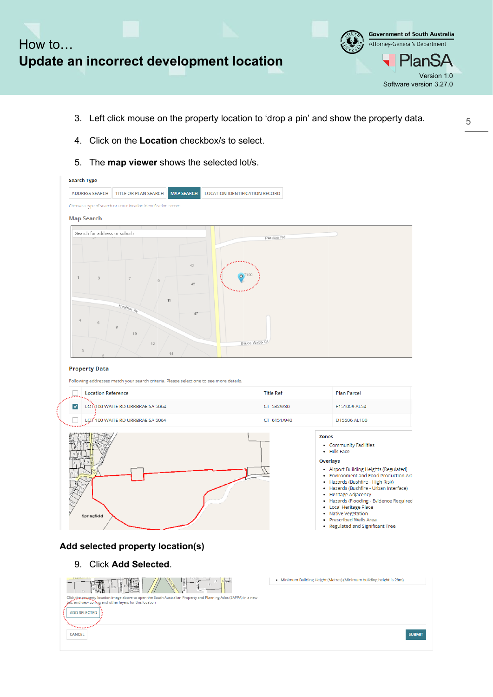

- 3. Left click mouse on the property location to 'drop a pin' and show the property data.
- 4. Click on the **Location** checkbox/s to select.
- 5. The **map viewer** shows the selected lot/s.

CANCEL

| <b>Search Type</b>           |                                                                                        |                                       |                                 |                                                                                                                                                                                                                                                                                                                                                                                                 |
|------------------------------|----------------------------------------------------------------------------------------|---------------------------------------|---------------------------------|-------------------------------------------------------------------------------------------------------------------------------------------------------------------------------------------------------------------------------------------------------------------------------------------------------------------------------------------------------------------------------------------------|
| <b>ADDRESS SEARCH</b>        | TITLE OR PLAN SEARCH<br><b>MAP SEARCH</b>                                              | <b>LOCATION IDENTIFICATION RECORD</b> |                                 |                                                                                                                                                                                                                                                                                                                                                                                                 |
|                              | Choose a type of search or enter location identification record.                       |                                       |                                 |                                                                                                                                                                                                                                                                                                                                                                                                 |
| <b>Map Search</b>            |                                                                                        |                                       |                                 |                                                                                                                                                                                                                                                                                                                                                                                                 |
| Search for address or suburb |                                                                                        |                                       | Paratoo Rd                      |                                                                                                                                                                                                                                                                                                                                                                                                 |
|                              | 43<br>45<br>11                                                                         | O <sup>T100</sup>                     |                                 |                                                                                                                                                                                                                                                                                                                                                                                                 |
|                              | Heather Av<br>47<br>10<br>12<br>14                                                     | Bruce Webb Ct                         |                                 |                                                                                                                                                                                                                                                                                                                                                                                                 |
| <b>Property Data</b>         |                                                                                        |                                       |                                 |                                                                                                                                                                                                                                                                                                                                                                                                 |
| <b>Location Reference</b>    | Following addresses match your search criteria. Please select one to see more details. |                                       | <b>Title Ref</b>                | <b>Plan Parcel</b>                                                                                                                                                                                                                                                                                                                                                                              |
| $\overline{\mathbf{v}}$      | LOT:100 WAITE RD URRBRAE SA 5064                                                       |                                       | CT 5329/30                      | F151009 AL54                                                                                                                                                                                                                                                                                                                                                                                    |
|                              | LOT 100 WAITE RD URRBRAE SA 5064                                                       |                                       | CT 6151/940                     | D15506 AL100                                                                                                                                                                                                                                                                                                                                                                                    |
| Springfield                  |                                                                                        |                                       | <b>Zones</b><br><b>Overlays</b> | • Community Facilities<br>· Hills Face<br>• Airport Building Heights (Regulated)<br>• Environment and Food Production Are<br>• Hazards (Bushfire - High Risk)<br>• Hazards (Bushfire - Urban Interface)<br>• Heritage Adjacency<br>· Hazards (Flooding - Evidence Required<br>• Local Heritage Place<br><b>Native Vegetation</b><br>• Prescribed Wells Area<br>• Regulated and Significant Tree |
|                              | Add selected property location(s)                                                      |                                       |                                 |                                                                                                                                                                                                                                                                                                                                                                                                 |
|                              | 9. Click Add Selected.                                                                 |                                       |                                 |                                                                                                                                                                                                                                                                                                                                                                                                 |
|                              |                                                                                        |                                       |                                 | • Minimum Building Height (Metres) (Minimum building height is 28m)                                                                                                                                                                                                                                                                                                                             |